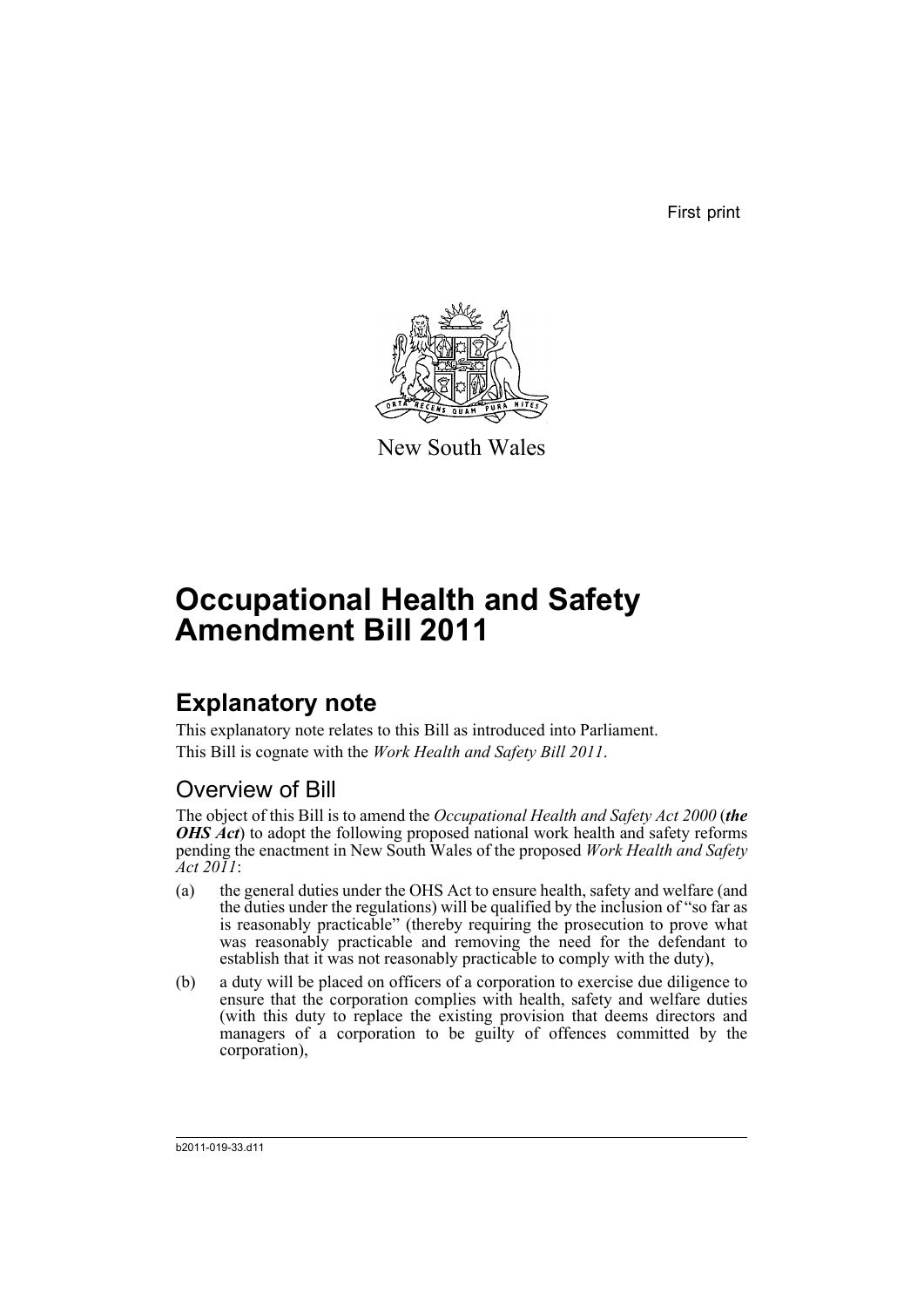First print



New South Wales

# **Occupational Health and Safety Amendment Bill 2011**

## **Explanatory note**

This explanatory note relates to this Bill as introduced into Parliament. This Bill is cognate with the *Work Health and Safety Bill 2011*.

### Overview of Bill

The object of this Bill is to amend the *Occupational Health and Safety Act 2000* (*the OHS Act*) to adopt the following proposed national work health and safety reforms pending the enactment in New South Wales of the proposed *Work Health and Safety Act 2011*:

- (a) the general duties under the OHS Act to ensure health, safety and welfare (and the duties under the regulations) will be qualified by the inclusion of "so far as is reasonably practicable" (thereby requiring the prosecution to prove what was reasonably practicable and removing the need for the defendant to establish that it was not reasonably practicable to comply with the duty),
- (b) a duty will be placed on officers of a corporation to exercise due diligence to ensure that the corporation complies with health, safety and welfare duties (with this duty to replace the existing provision that deems directors and managers of a corporation to be guilty of offences committed by the corporation),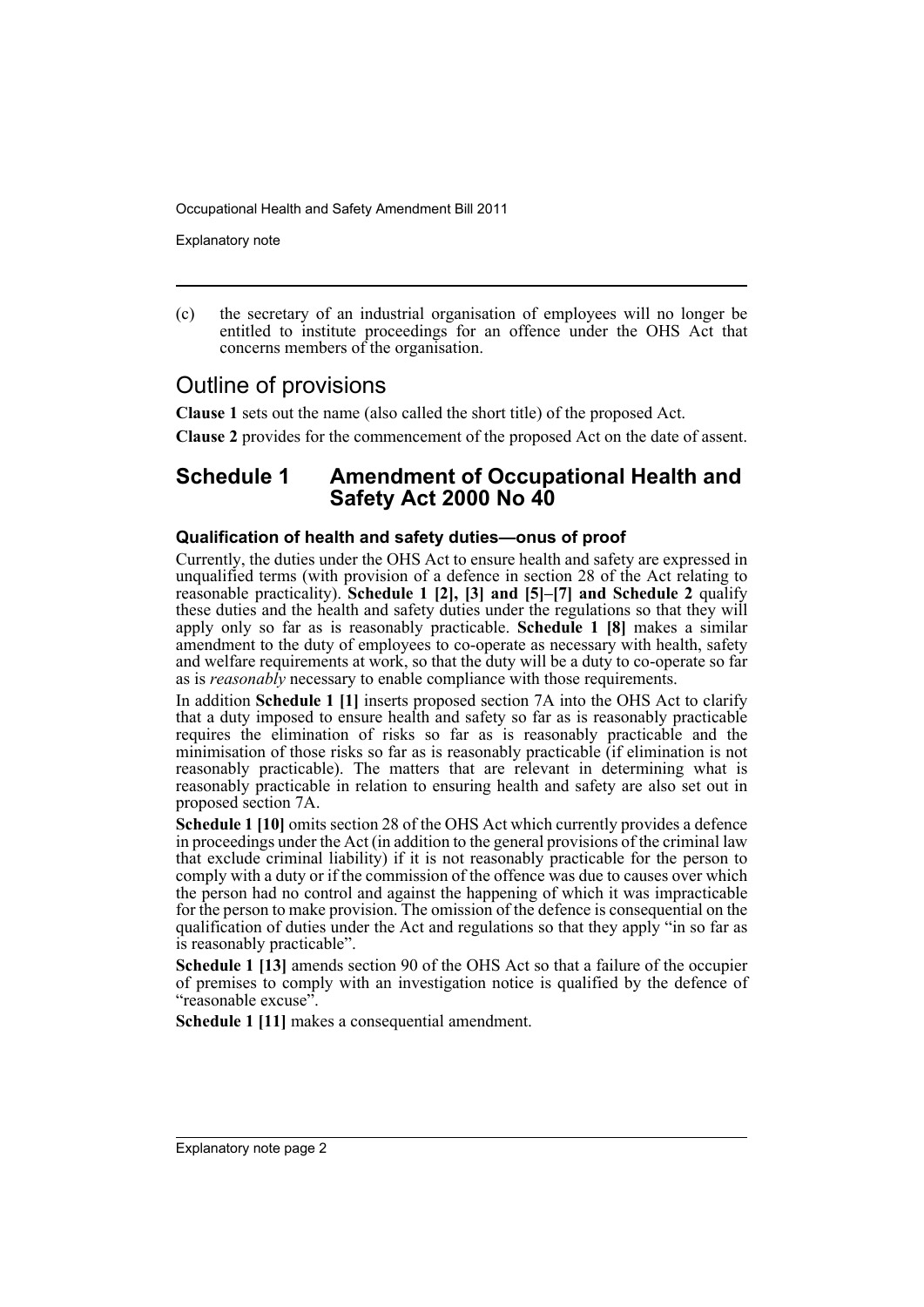Explanatory note

(c) the secretary of an industrial organisation of employees will no longer be entitled to institute proceedings for an offence under the OHS Act that concerns members of the organisation.

### Outline of provisions

**Clause 1** sets out the name (also called the short title) of the proposed Act.

**Clause 2** provides for the commencement of the proposed Act on the date of assent.

#### **Schedule 1 Amendment of Occupational Health and Safety Act 2000 No 40**

#### **Qualification of health and safety duties—onus of proof**

Currently, the duties under the OHS Act to ensure health and safety are expressed in unqualified terms (with provision of a defence in section 28 of the Act relating to reasonable practicality). **Schedule 1 [2], [3] and [5]–[7] and Schedule 2** qualify these duties and the health and safety duties under the regulations so that they will apply only so far as is reasonably practicable. **Schedule 1 [8]** makes a similar amendment to the duty of employees to co-operate as necessary with health, safety and welfare requirements at work, so that the duty will be a duty to co-operate so far as is *reasonably* necessary to enable compliance with those requirements.

In addition **Schedule 1 [1]** inserts proposed section 7A into the OHS Act to clarify that a duty imposed to ensure health and safety so far as is reasonably practicable requires the elimination of risks so far as is reasonably practicable and the minimisation of those risks so far as is reasonably practicable (if elimination is not reasonably practicable). The matters that are relevant in determining what is reasonably practicable in relation to ensuring health and safety are also set out in proposed section 7A.

**Schedule 1 [10]** omits section 28 of the OHS Act which currently provides a defence in proceedings under the Act (in addition to the general provisions of the criminal law that exclude criminal liability) if it is not reasonably practicable for the person to comply with a duty or if the commission of the offence was due to causes over which the person had no control and against the happening of which it was impracticable for the person to make provision. The omission of the defence is consequential on the qualification of duties under the Act and regulations so that they apply "in so far as is reasonably practicable".

**Schedule 1 [13]** amends section 90 of the OHS Act so that a failure of the occupier of premises to comply with an investigation notice is qualified by the defence of "reasonable excuse".

**Schedule 1 [11]** makes a consequential amendment.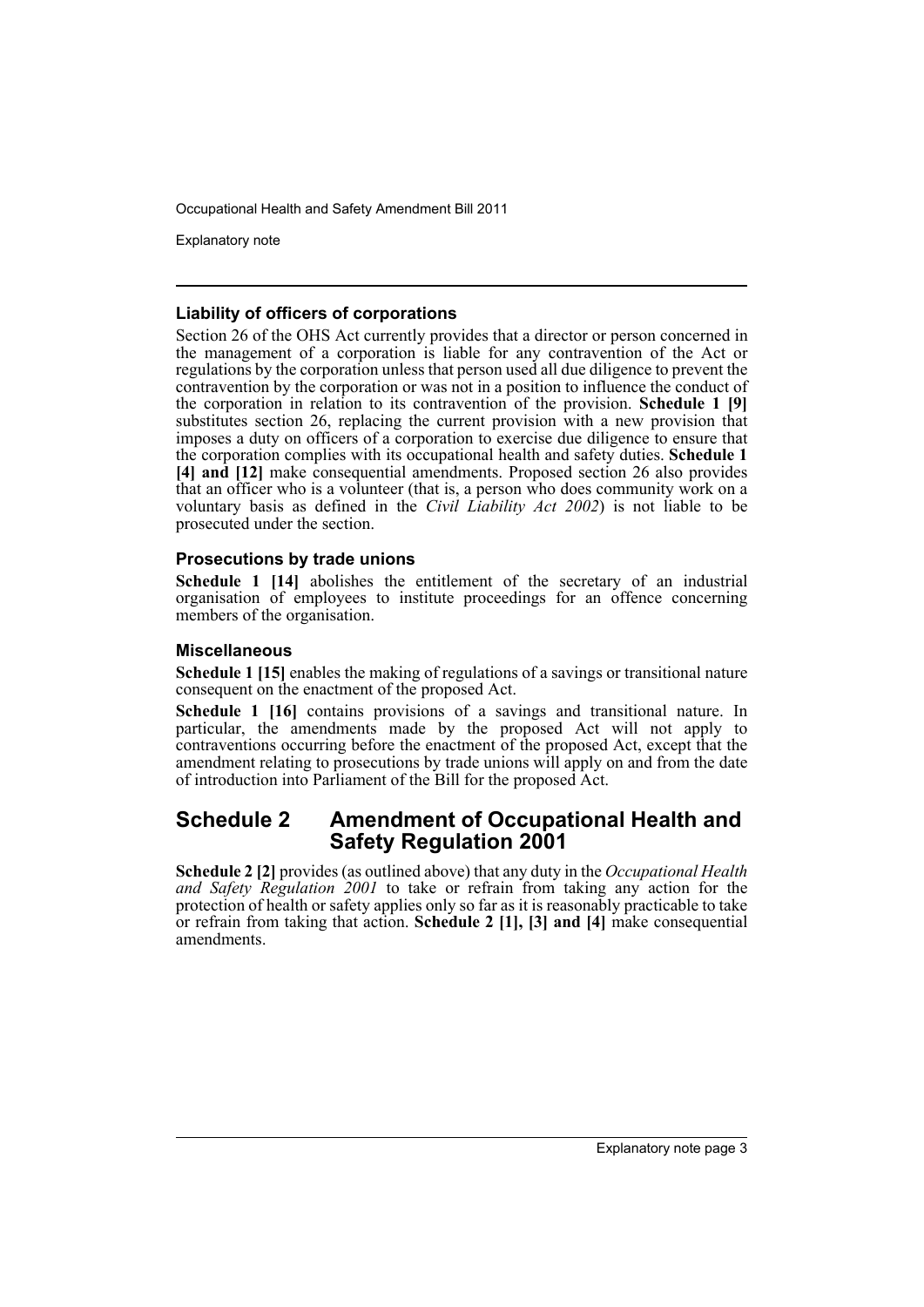Explanatory note

#### **Liability of officers of corporations**

Section 26 of the OHS Act currently provides that a director or person concerned in the management of a corporation is liable for any contravention of the Act or regulations by the corporation unless that person used all due diligence to prevent the contravention by the corporation or was not in a position to influence the conduct of the corporation in relation to its contravention of the provision. **Schedule 1 [9]** substitutes section 26, replacing the current provision with a new provision that imposes a duty on officers of a corporation to exercise due diligence to ensure that the corporation complies with its occupational health and safety duties. **Schedule 1 [4] and [12]** make consequential amendments. Proposed section 26 also provides that an officer who is a volunteer (that is, a person who does community work on a voluntary basis as defined in the *Civil Liability Act 2002*) is not liable to be prosecuted under the section.

#### **Prosecutions by trade unions**

**Schedule 1 [14]** abolishes the entitlement of the secretary of an industrial organisation of employees to institute proceedings for an offence concerning members of the organisation.

#### **Miscellaneous**

**Schedule 1 [15]** enables the making of regulations of a savings or transitional nature consequent on the enactment of the proposed Act.

**Schedule 1 [16]** contains provisions of a savings and transitional nature. In particular, the amendments made by the proposed Act will not apply to contraventions occurring before the enactment of the proposed Act, except that the amendment relating to prosecutions by trade unions will apply on and from the date of introduction into Parliament of the Bill for the proposed Act.

#### **Schedule 2 Amendment of Occupational Health and Safety Regulation 2001**

**Schedule 2 [2]** provides (as outlined above) that any duty in the *Occupational Health and Safety Regulation 2001* to take or refrain from taking any action for the protection of health or safety applies only so far as it is reasonably practicable to take or refrain from taking that action. **Schedule 2 [1], [3] and [4]** make consequential amendments.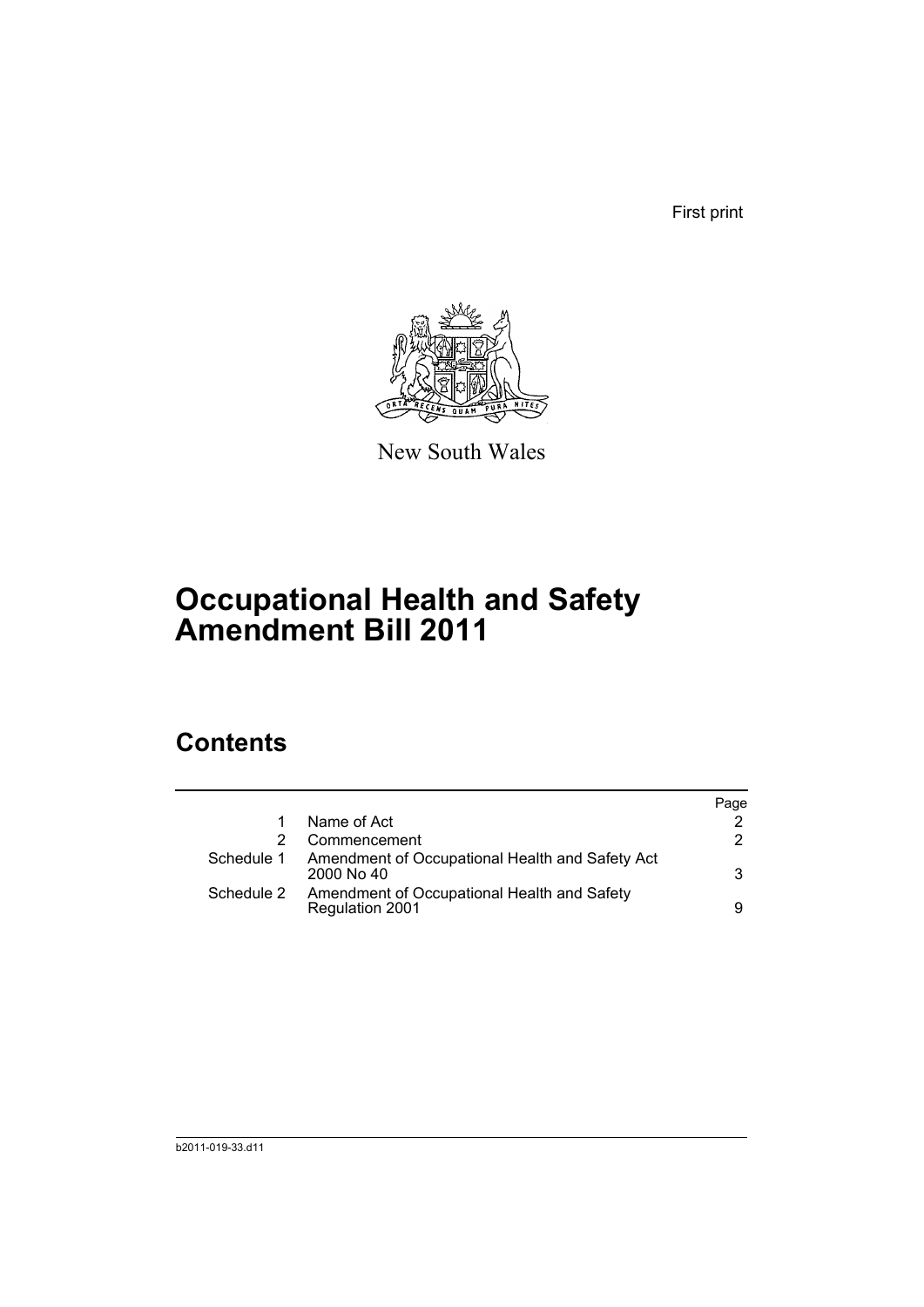First print



New South Wales

# **Occupational Health and Safety Amendment Bill 2011**

## **Contents**

|            |                                                                              | Page |
|------------|------------------------------------------------------------------------------|------|
|            | Name of Act                                                                  |      |
|            | Commencement                                                                 | 2    |
|            | Schedule 1 Amendment of Occupational Health and Safety Act<br>$2000$ No $40$ | 3    |
| Schedule 2 | Amendment of Occupational Health and Safety<br>Regulation 2001               | 9    |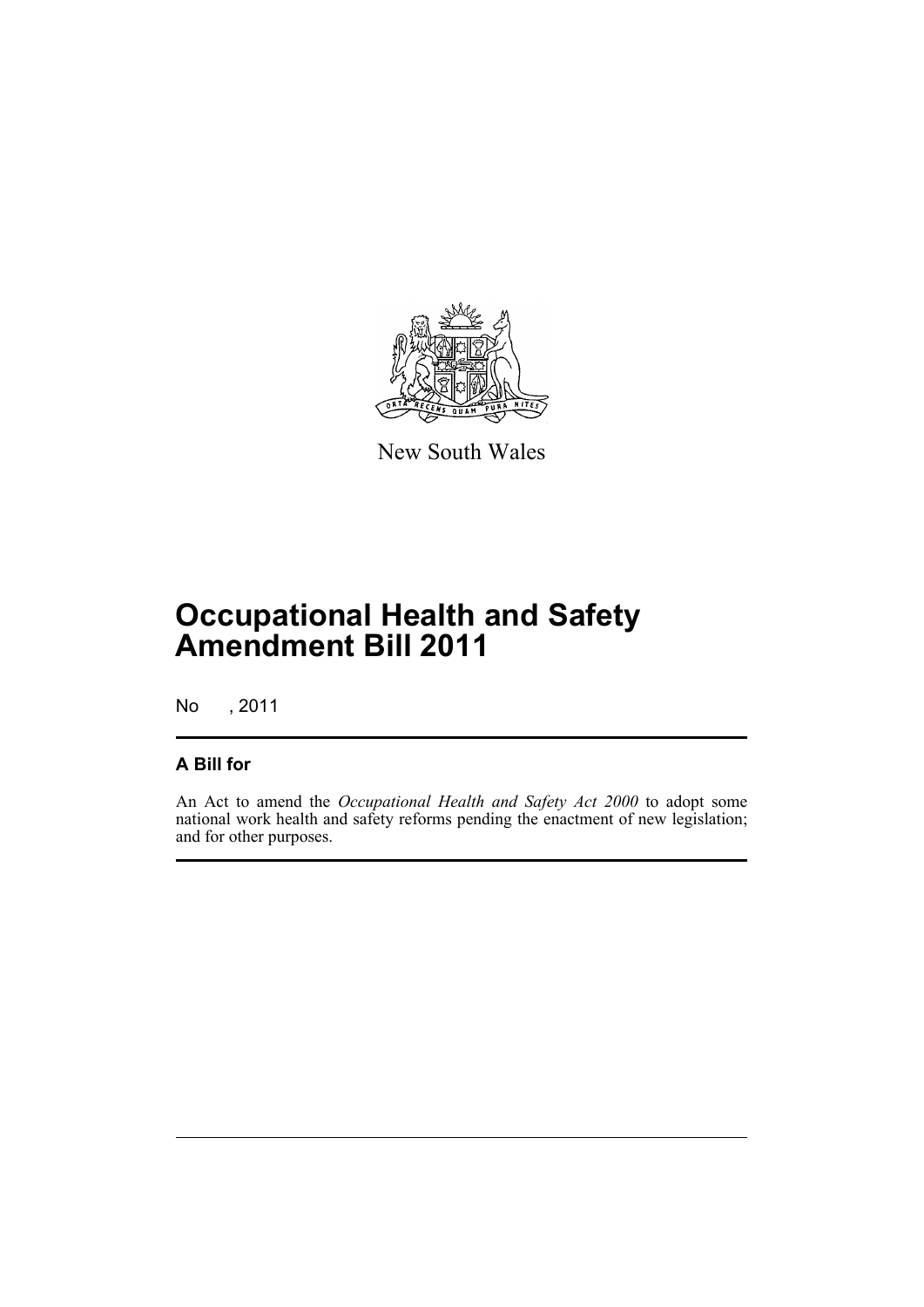

New South Wales

# **Occupational Health and Safety Amendment Bill 2011**

No , 2011

#### **A Bill for**

An Act to amend the *Occupational Health and Safety Act 2000* to adopt some national work health and safety reforms pending the enactment of new legislation; and for other purposes.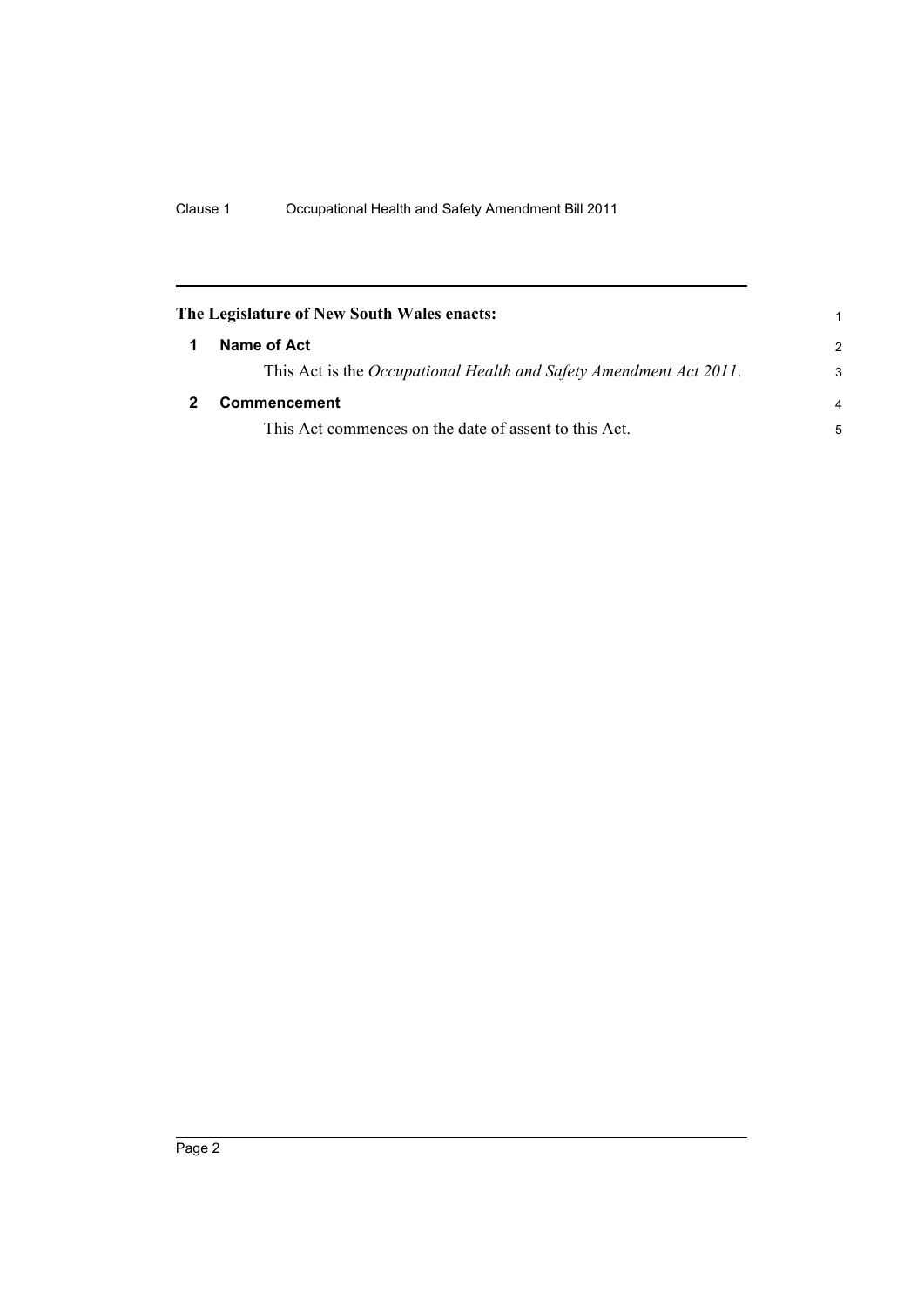<span id="page-7-1"></span><span id="page-7-0"></span>

| The Legislature of New South Wales enacts:                         |               |  |
|--------------------------------------------------------------------|---------------|--|
| Name of Act                                                        | $\mathcal{P}$ |  |
| This Act is the Occupational Health and Safety Amendment Act 2011. | 3             |  |
| <b>Commencement</b>                                                |               |  |
| This Act commences on the date of assent to this Act.              | 5             |  |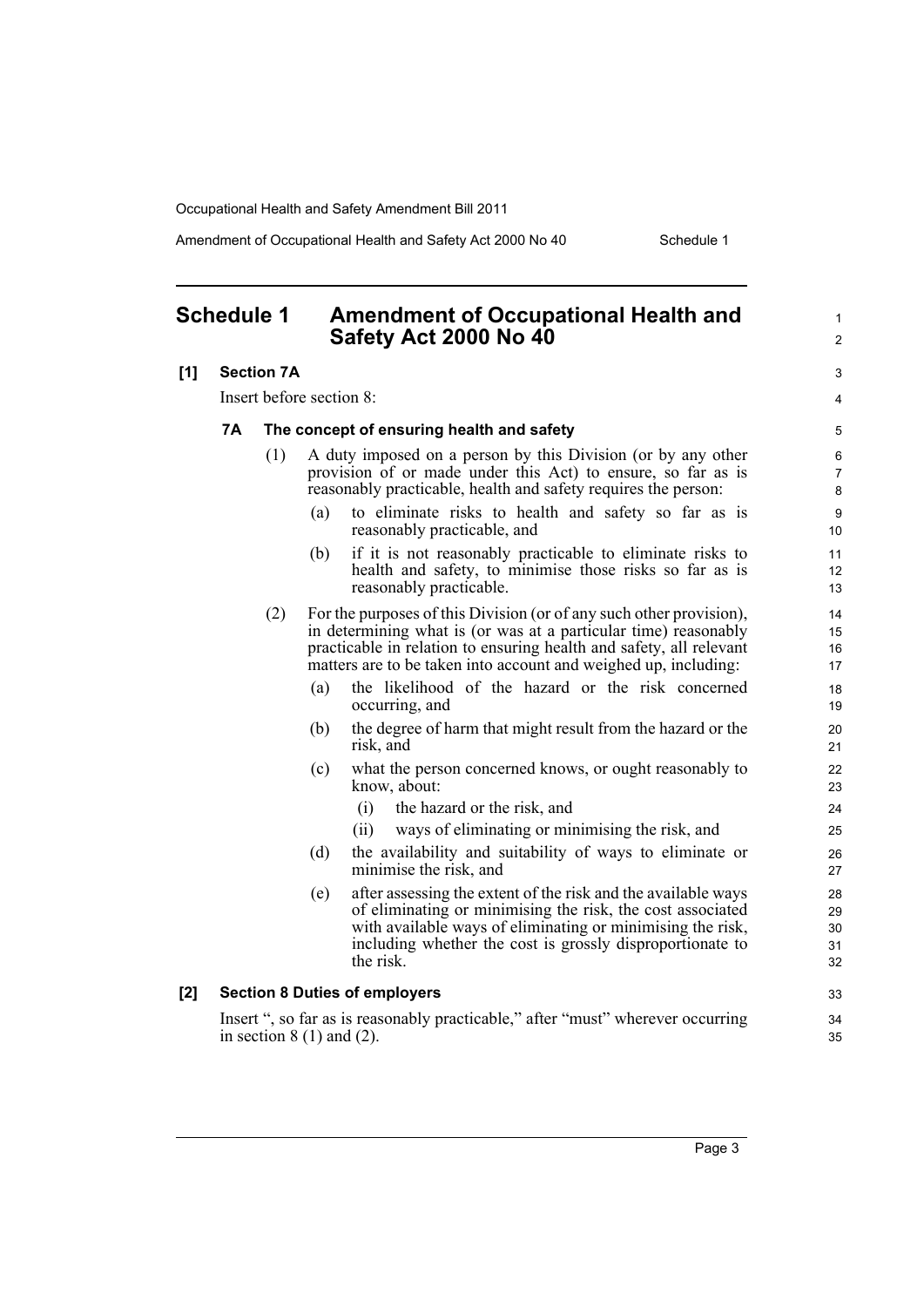Amendment of Occupational Health and Safety Act 2000 No 40 Schedule 1

1

#### <span id="page-8-0"></span>**Schedule 1 Amendment of Occupational Health and Safety Act 2000 No 40**

#### **[1] Section 7A** Insert before section 8: **7A The concept of ensuring health and safety** (1) A duty imposed on a person by this Division (or by any other provision of or made under this Act) to ensure, so far as is reasonably practicable, health and safety requires the person: (a) to eliminate risks to health and safety so far as is reasonably practicable, and (b) if it is not reasonably practicable to eliminate risks to health and safety, to minimise those risks so far as is reasonably practicable. (2) For the purposes of this Division (or of any such other provision), in determining what is (or was at a particular time) reasonably practicable in relation to ensuring health and safety, all relevant matters are to be taken into account and weighed up, including: (a) the likelihood of the hazard or the risk concerned occurring, and (b) the degree of harm that might result from the hazard or the risk, and (c) what the person concerned knows, or ought reasonably to know, about: (i) the hazard or the risk, and (ii) ways of eliminating or minimising the risk, and (d) the availability and suitability of ways to eliminate or minimise the risk, and (e) after assessing the extent of the risk and the available ways of eliminating or minimising the risk, the cost associated with available ways of eliminating or minimising the risk. including whether the cost is grossly disproportionate to the risk. **[2] Section 8 Duties of employers** Insert ", so far as is reasonably practicable," after "must" wherever occurring in section  $8(1)$  and  $(2)$ .  $\mathfrak{p}$ 3 4 5 6 7 8 **9** 10 11 12 13 14 15 16 17 18 19  $20$ 21  $22$ 23 24 25 26 27 28 29 30 31 32 33 34 35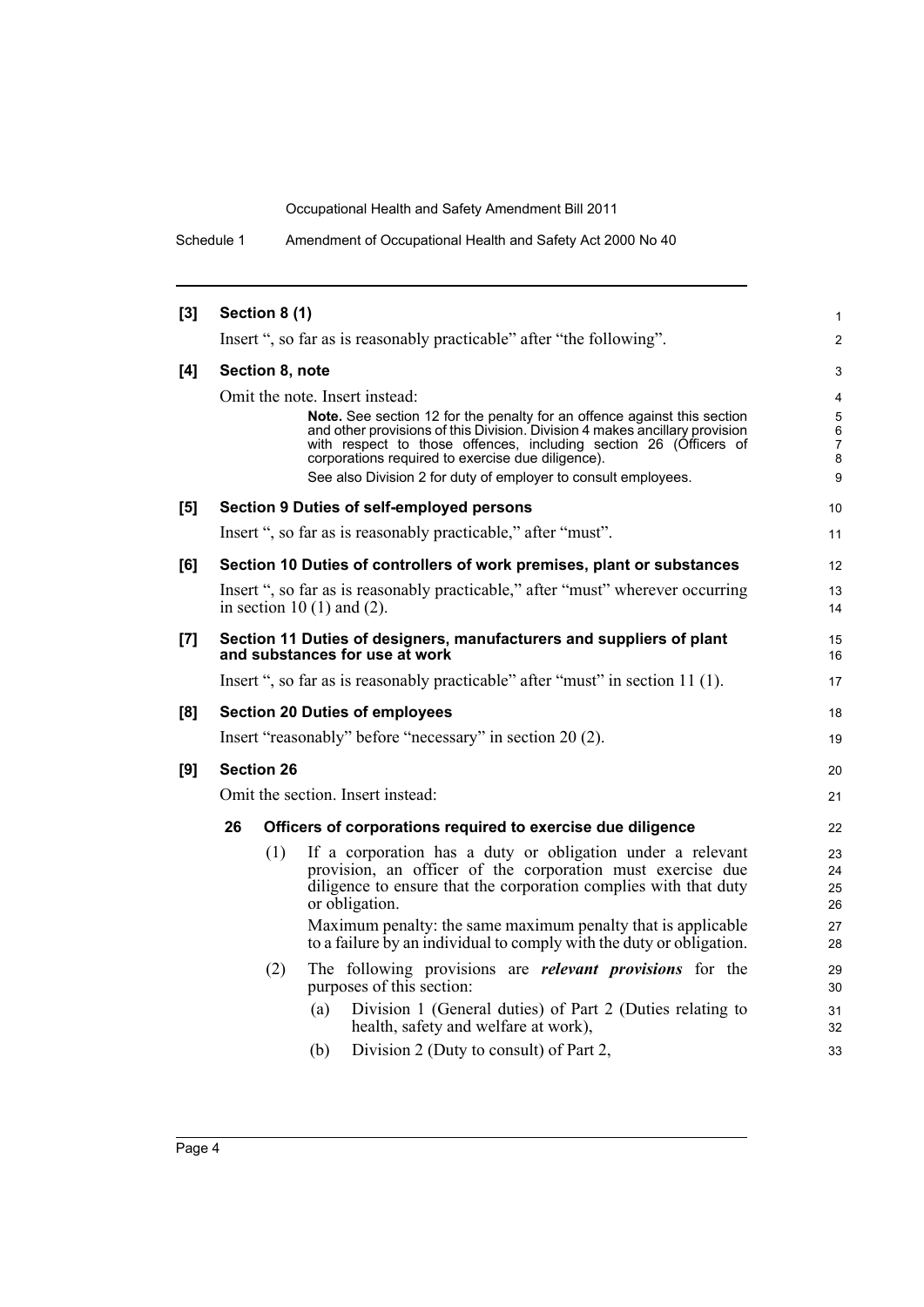Schedule 1 Amendment of Occupational Health and Safety Act 2000 No 40

| $[3]$ |                                   | Section 8 (1)   |                                                                                                                                                  | $\mathbf{1}$        |
|-------|-----------------------------------|-----------------|--------------------------------------------------------------------------------------------------------------------------------------------------|---------------------|
|       |                                   |                 | Insert ", so far as is reasonably practicable" after "the following".                                                                            | $\overline{2}$      |
| [4]   |                                   | Section 8, note |                                                                                                                                                  | 3                   |
|       |                                   |                 | Omit the note. Insert instead:                                                                                                                   | $\overline{4}$      |
|       |                                   |                 | Note. See section 12 for the penalty for an offence against this section                                                                         | $\mathbf 5$         |
|       |                                   |                 | and other provisions of this Division. Division 4 makes ancillary provision<br>with respect to those offences, including section 26 (Officers of | 6<br>$\overline{7}$ |
|       |                                   |                 | corporations required to exercise due diligence).                                                                                                | 8                   |
|       |                                   |                 | See also Division 2 for duty of employer to consult employees.                                                                                   | 9                   |
| [5]   |                                   |                 | Section 9 Duties of self-employed persons                                                                                                        | 10                  |
|       |                                   |                 | Insert ", so far as is reasonably practicable," after "must".                                                                                    | 11                  |
| [6]   |                                   |                 | Section 10 Duties of controllers of work premises, plant or substances                                                                           | 12                  |
|       |                                   |                 | Insert ", so far as is reasonably practicable," after "must" wherever occurring                                                                  | 13                  |
|       |                                   |                 | in section 10 $(1)$ and $(2)$ .                                                                                                                  | 14                  |
| [7]   |                                   |                 | Section 11 Duties of designers, manufacturers and suppliers of plant                                                                             | 15                  |
|       |                                   |                 | and substances for use at work                                                                                                                   | 16                  |
|       |                                   |                 | Insert ", so far as is reasonably practicable" after "must" in section 11 (1).                                                                   | 17                  |
| [8]   |                                   |                 | <b>Section 20 Duties of employees</b>                                                                                                            | 18                  |
|       |                                   |                 | Insert "reasonably" before "necessary" in section 20 (2).                                                                                        | 19                  |
| [9]   | <b>Section 26</b>                 |                 |                                                                                                                                                  | 20                  |
|       | Omit the section. Insert instead: |                 |                                                                                                                                                  | 21                  |
|       | 26                                |                 | Officers of corporations required to exercise due diligence                                                                                      | 22                  |
|       |                                   | (1)             | If a corporation has a duty or obligation under a relevant                                                                                       | 23                  |
|       |                                   |                 | provision, an officer of the corporation must exercise due                                                                                       | 24                  |
|       |                                   |                 | diligence to ensure that the corporation complies with that duty                                                                                 | 25                  |
|       |                                   |                 | or obligation.                                                                                                                                   | 26                  |
|       |                                   |                 | Maximum penalty: the same maximum penalty that is applicable<br>to a failure by an individual to comply with the duty or obligation.             | 27<br>28            |
|       |                                   | (2)             | The following provisions are <i>relevant provisions</i> for the                                                                                  | 29                  |
|       |                                   |                 | purposes of this section:                                                                                                                        | 30                  |
|       |                                   |                 | Division 1 (General duties) of Part 2 (Duties relating to<br>(a)<br>health, safety and welfare at work),                                         | 31<br>32            |
|       |                                   |                 | Division 2 (Duty to consult) of Part 2,<br>(b)                                                                                                   | 33                  |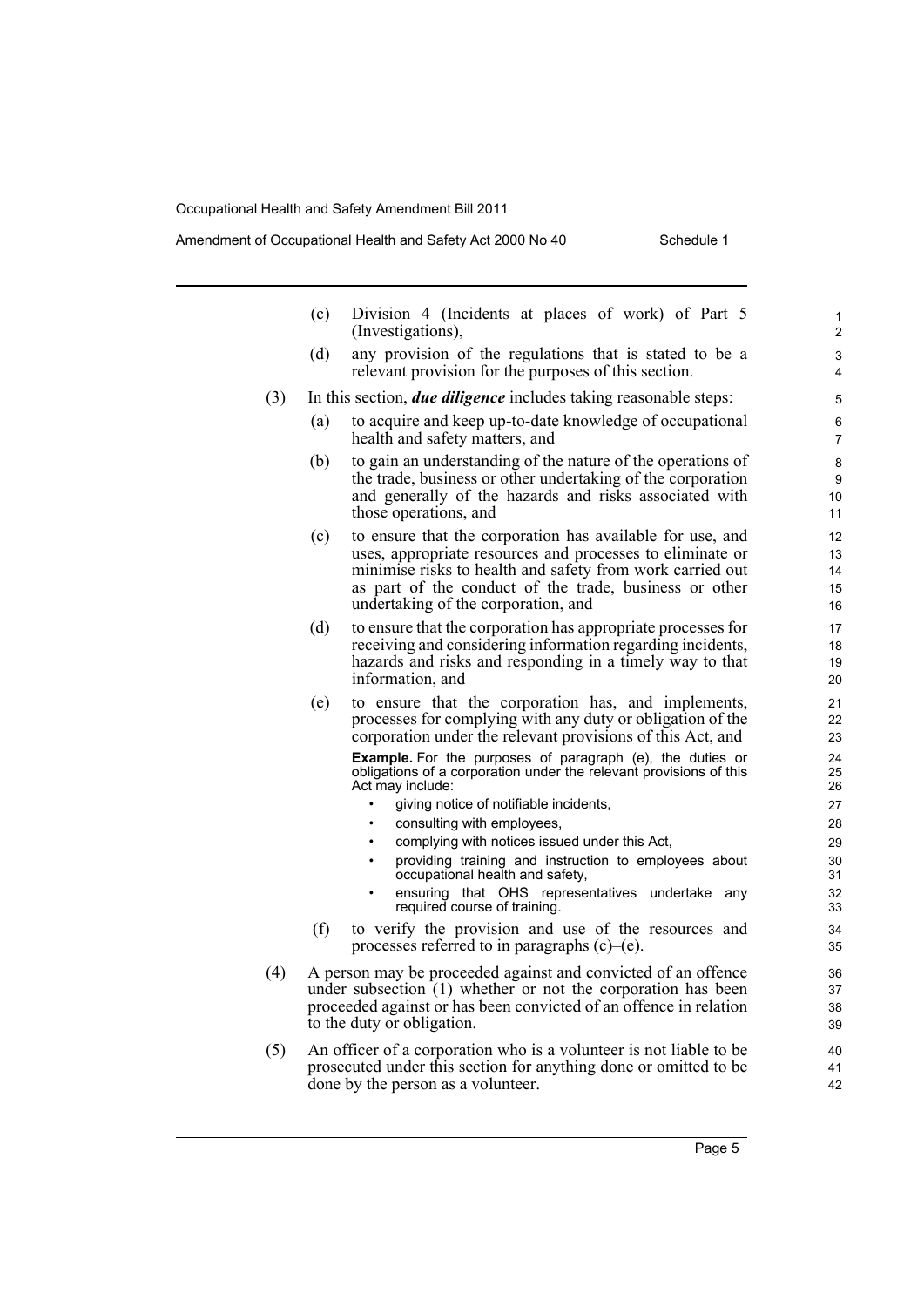|     | (c)                                                                                                                                                                                                                                | Division 4 (Incidents at places of work) of Part 5<br>(Investigations),                                                                                                                                                                                                              | 1<br>2                     |  |
|-----|------------------------------------------------------------------------------------------------------------------------------------------------------------------------------------------------------------------------------------|--------------------------------------------------------------------------------------------------------------------------------------------------------------------------------------------------------------------------------------------------------------------------------------|----------------------------|--|
|     | (d)                                                                                                                                                                                                                                | any provision of the regulations that is stated to be a<br>relevant provision for the purposes of this section.                                                                                                                                                                      | 3<br>4                     |  |
| (3) |                                                                                                                                                                                                                                    | In this section, due diligence includes taking reasonable steps:                                                                                                                                                                                                                     | 5                          |  |
|     | (a)                                                                                                                                                                                                                                | to acquire and keep up-to-date knowledge of occupational<br>health and safety matters, and                                                                                                                                                                                           |                            |  |
|     | (b)                                                                                                                                                                                                                                | to gain an understanding of the nature of the operations of<br>the trade, business or other undertaking of the corporation<br>and generally of the hazards and risks associated with<br>those operations, and                                                                        | 8<br>9<br>10<br>11         |  |
|     | (c)                                                                                                                                                                                                                                | to ensure that the corporation has available for use, and<br>uses, appropriate resources and processes to eliminate or<br>minimise risks to health and safety from work carried out<br>as part of the conduct of the trade, business or other<br>undertaking of the corporation, and | 12<br>13<br>14<br>15<br>16 |  |
|     | (d)                                                                                                                                                                                                                                | to ensure that the corporation has appropriate processes for<br>receiving and considering information regarding incidents,<br>hazards and risks and responding in a timely way to that<br>information, and                                                                           | 17<br>18<br>19<br>20       |  |
|     | (e)                                                                                                                                                                                                                                | to ensure that the corporation has, and implements,<br>processes for complying with any duty or obligation of the<br>corporation under the relevant provisions of this Act, and                                                                                                      | 21<br>22<br>23             |  |
|     |                                                                                                                                                                                                                                    | Example. For the purposes of paragraph (e), the duties or<br>obligations of a corporation under the relevant provisions of this<br>Act may include:                                                                                                                                  | 24<br>25<br>26             |  |
|     |                                                                                                                                                                                                                                    | giving notice of notifiable incidents,<br>$\bullet$<br>consulting with employees,<br>$\bullet$                                                                                                                                                                                       | 27<br>28                   |  |
|     |                                                                                                                                                                                                                                    | complying with notices issued under this Act.<br>$\bullet$                                                                                                                                                                                                                           | 29                         |  |
|     |                                                                                                                                                                                                                                    | providing training and instruction to employees about<br>$\bullet$<br>occupational health and safety,                                                                                                                                                                                | 30<br>31                   |  |
|     |                                                                                                                                                                                                                                    | ensuring that OHS representatives<br>undertake<br>any<br>required course of training.                                                                                                                                                                                                | 32<br>33                   |  |
|     | (f)                                                                                                                                                                                                                                | to verify the provision and use of the resources and<br>processes referred to in paragraphs (c)–(e).                                                                                                                                                                                 | 34<br>35                   |  |
| (4) | A person may be proceeded against and convicted of an offence<br>under subsection $(1)$ whether or not the corporation has been<br>proceeded against or has been convicted of an offence in relation<br>to the duty or obligation. |                                                                                                                                                                                                                                                                                      |                            |  |
| (5) |                                                                                                                                                                                                                                    | An officer of a corporation who is a volunteer is not liable to be.<br>prosecuted under this section for anything done or omitted to be                                                                                                                                              | 40<br>41                   |  |

done by the person as a volunteer.

42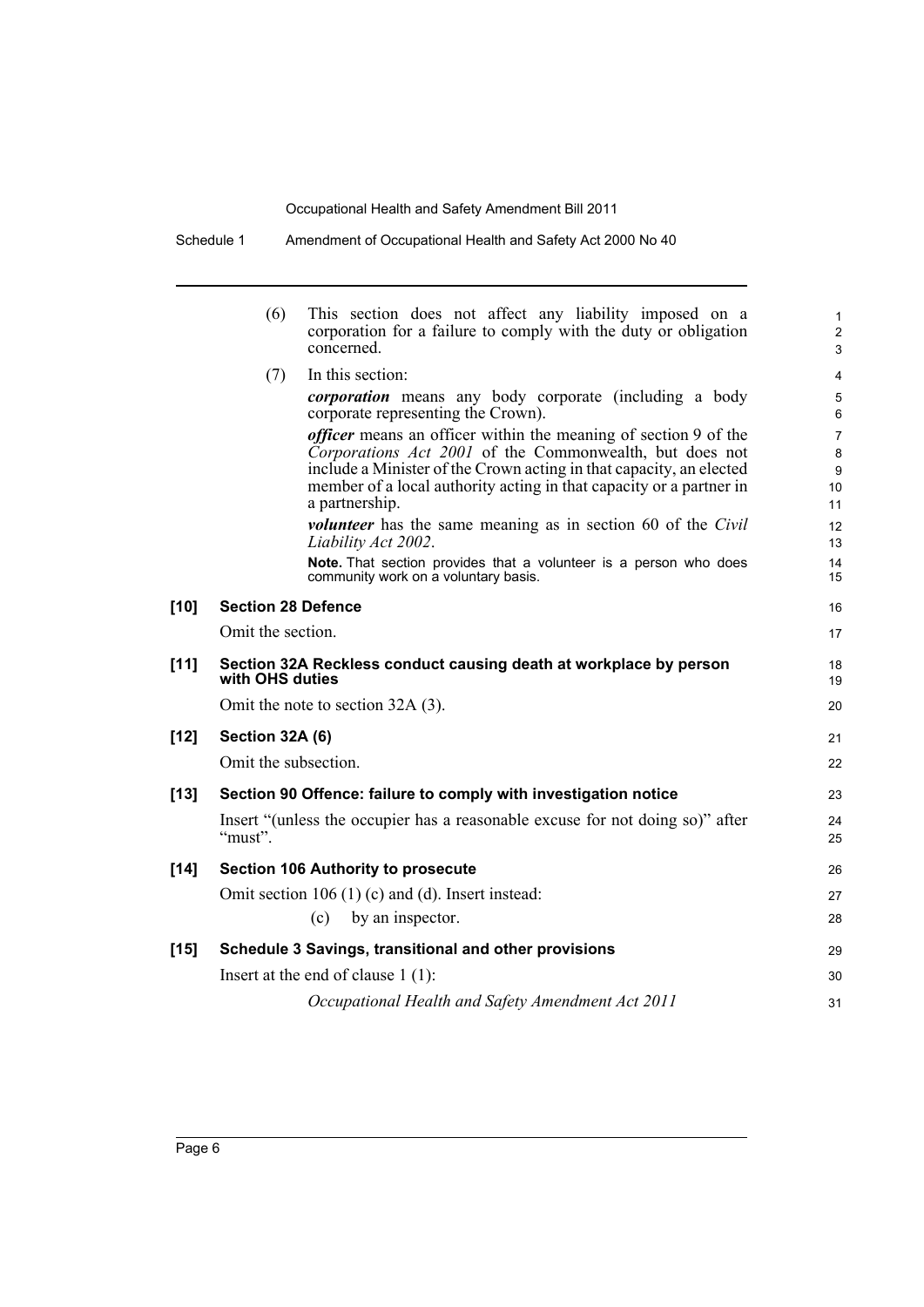|        | (6)                       | This section does not affect any liability imposed on a<br>corporation for a failure to comply with the duty or obligation<br>concerned.                                                                                                                                        | 1<br>$\overline{c}$<br>3       |
|--------|---------------------------|---------------------------------------------------------------------------------------------------------------------------------------------------------------------------------------------------------------------------------------------------------------------------------|--------------------------------|
|        | (7)                       | In this section:                                                                                                                                                                                                                                                                | 4                              |
|        |                           | <i>corporation</i> means any body corporate (including a body<br>corporate representing the Crown).                                                                                                                                                                             | 5<br>6                         |
|        |                           | <i>officer</i> means an officer within the meaning of section 9 of the<br>Corporations Act 2001 of the Commonwealth, but does not<br>include a Minister of the Crown acting in that capacity, an elected<br>member of a local authority acting in that capacity or a partner in | $\overline{7}$<br>8<br>9<br>10 |
|        |                           | a partnership.                                                                                                                                                                                                                                                                  | 11                             |
|        |                           | <i>volunteer</i> has the same meaning as in section 60 of the <i>Civil</i><br>Liability Act 2002.                                                                                                                                                                               | 12<br>13                       |
|        |                           | Note. That section provides that a volunteer is a person who does<br>community work on a voluntary basis.                                                                                                                                                                       | 14<br>15                       |
| $[10]$ | <b>Section 28 Defence</b> |                                                                                                                                                                                                                                                                                 |                                |
|        | Omit the section.         |                                                                                                                                                                                                                                                                                 | 17                             |
| $[11]$ | with OHS duties           | Section 32A Reckless conduct causing death at workplace by person                                                                                                                                                                                                               | 18<br>19                       |
|        |                           | Omit the note to section 32A (3).                                                                                                                                                                                                                                               | 20                             |
| $[12]$ | Section 32A (6)           |                                                                                                                                                                                                                                                                                 | 21                             |
|        | Omit the subsection.      |                                                                                                                                                                                                                                                                                 | 22                             |
| $[13]$ |                           | Section 90 Offence: failure to comply with investigation notice                                                                                                                                                                                                                 | 23                             |
|        | "must".                   | Insert "(unless the occupier has a reasonable excuse for not doing so)" after                                                                                                                                                                                                   | 24<br>25                       |
| $[14]$ |                           | <b>Section 106 Authority to prosecute</b>                                                                                                                                                                                                                                       | 26                             |
|        |                           | Omit section $106(1)(c)$ and (d). Insert instead:                                                                                                                                                                                                                               | 27                             |
|        |                           | (c)<br>by an inspector.                                                                                                                                                                                                                                                         | 28                             |
| $[15]$ |                           | Schedule 3 Savings, transitional and other provisions                                                                                                                                                                                                                           | 29                             |
|        |                           | Insert at the end of clause $1(1)$ :                                                                                                                                                                                                                                            | 30                             |
|        |                           | Occupational Health and Safety Amendment Act 2011                                                                                                                                                                                                                               | 31                             |
|        |                           |                                                                                                                                                                                                                                                                                 |                                |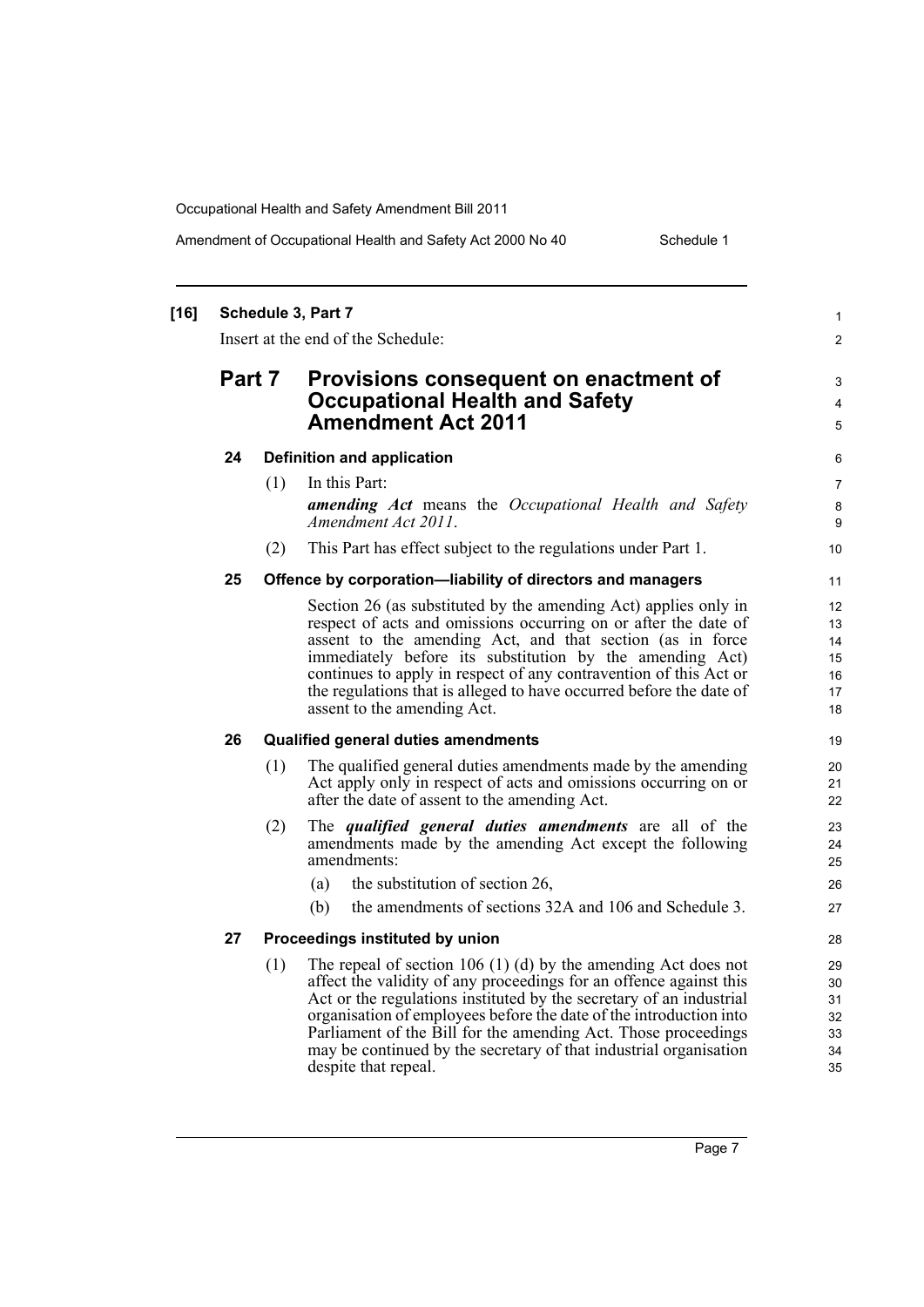#### Amendment of Occupational Health and Safety Act 2000 No 40 Schedule 1

| $[16]$ |        |     | Schedule 3, Part 7<br>Insert at the end of the Schedule:                                                                                                                                                                                                                                                                                                                                                                                         | $\mathbf{1}$<br>2                      |
|--------|--------|-----|--------------------------------------------------------------------------------------------------------------------------------------------------------------------------------------------------------------------------------------------------------------------------------------------------------------------------------------------------------------------------------------------------------------------------------------------------|----------------------------------------|
|        | Part 7 |     | Provisions consequent on enactment of<br><b>Occupational Health and Safety</b><br><b>Amendment Act 2011</b>                                                                                                                                                                                                                                                                                                                                      | 3<br>4<br>5                            |
|        | 24     |     | <b>Definition and application</b>                                                                                                                                                                                                                                                                                                                                                                                                                | 6                                      |
|        |        | (1) | In this Part:                                                                                                                                                                                                                                                                                                                                                                                                                                    | 7                                      |
|        |        |     | amending Act means the Occupational Health and Safety<br>Amendment Act 2011.                                                                                                                                                                                                                                                                                                                                                                     | 8<br>9                                 |
|        |        | (2) | This Part has effect subject to the regulations under Part 1.                                                                                                                                                                                                                                                                                                                                                                                    | 10                                     |
|        | 25     |     | Offence by corporation-liability of directors and managers                                                                                                                                                                                                                                                                                                                                                                                       | 11                                     |
|        |        |     | Section 26 (as substituted by the amending Act) applies only in<br>respect of acts and omissions occurring on or after the date of<br>assent to the amending Act, and that section (as in force<br>immediately before its substitution by the amending Act)<br>continues to apply in respect of any contravention of this Act or<br>the regulations that is alleged to have occurred before the date of<br>assent to the amending Act.           | 12<br>13<br>14<br>15<br>16<br>17<br>18 |
|        | 26     |     | <b>Qualified general duties amendments</b>                                                                                                                                                                                                                                                                                                                                                                                                       | 19                                     |
|        |        | (1) | The qualified general duties amendments made by the amending<br>Act apply only in respect of acts and omissions occurring on or<br>after the date of assent to the amending Act.                                                                                                                                                                                                                                                                 | 20<br>21<br>22                         |
|        |        | (2) | The <i>qualified</i> general duties amendments are all of the<br>amendments made by the amending Act except the following<br>amendments:<br>the substitution of section 26,<br>(a)                                                                                                                                                                                                                                                               | 23<br>24<br>25<br>26                   |
|        |        |     | the amendments of sections 32A and 106 and Schedule 3.<br>(b)                                                                                                                                                                                                                                                                                                                                                                                    | 27                                     |
|        | 27     |     | Proceedings instituted by union                                                                                                                                                                                                                                                                                                                                                                                                                  | 28                                     |
|        |        | (1) | The repeal of section 106 (1) (d) by the amending Act does not<br>affect the validity of any proceedings for an offence against this<br>Act or the regulations instituted by the secretary of an industrial<br>organisation of employees before the date of the introduction into<br>Parliament of the Bill for the amending Act. Those proceedings<br>may be continued by the secretary of that industrial organisation<br>despite that repeal. | 29<br>30<br>31<br>32<br>33<br>34<br>35 |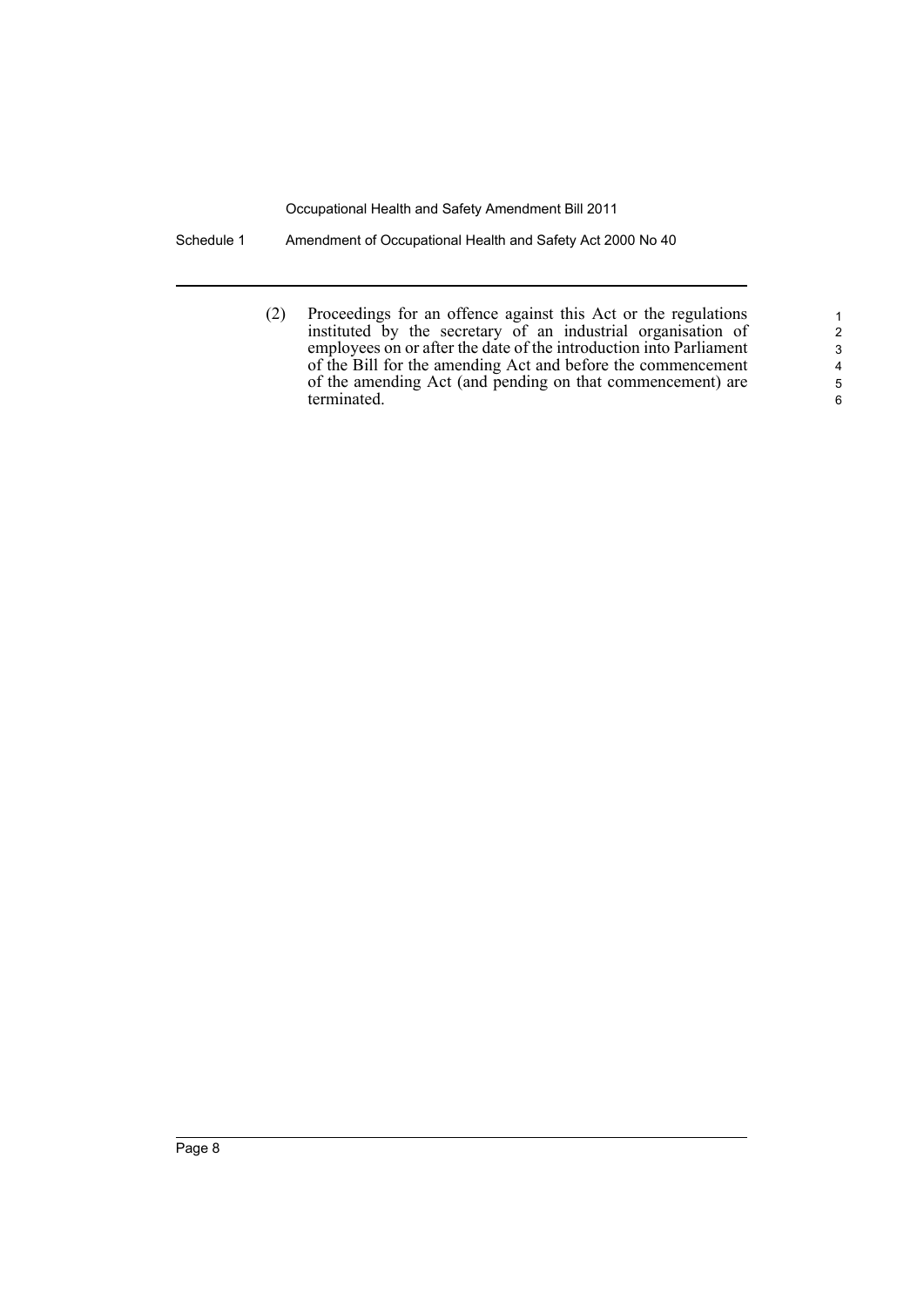Schedule 1 Amendment of Occupational Health and Safety Act 2000 No 40

(2) Proceedings for an offence against this Act or the regulations instituted by the secretary of an industrial organisation of employees on or after the date of the introduction into Parliament of the Bill for the amending Act and before the commencement of the amending Act (and pending on that commencement) are terminated.